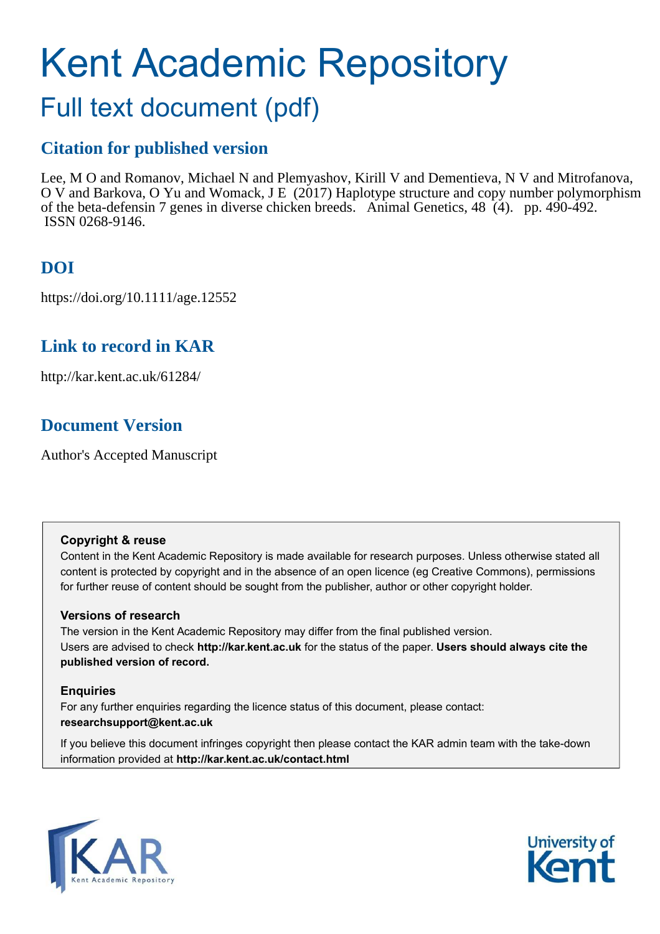# Kent Academic Repository

## Full text document (pdf)

## **Citation for published version**

Lee, M O and Romanov, Michael N and Plemyashov, Kirill V and Dementieva, N V and Mitrofanova, O V and Barkova, O Yu and Womack, J E (2017) Haplotype structure and copy number polymorphism of the beta-defensin 7 genes in diverse chicken breeds. Animal Genetics, 48 (4). pp. 490-492. ISSN 0268-9146.

## **DOI**

https://doi.org/10.1111/age.12552

## **Link to record in KAR**

http://kar.kent.ac.uk/61284/

## **Document Version**

Author's Accepted Manuscript

### **Copyright & reuse**

Content in the Kent Academic Repository is made available for research purposes. Unless otherwise stated all content is protected by copyright and in the absence of an open licence (eg Creative Commons), permissions for further reuse of content should be sought from the publisher, author or other copyright holder.

### **Versions of research**

The version in the Kent Academic Repository may differ from the final published version. Users are advised to check **http://kar.kent.ac.uk** for the status of the paper. **Users should always cite the published version of record.**

### **Enquiries**

For any further enquiries regarding the licence status of this document, please contact: **researchsupport@kent.ac.uk**

If you believe this document infringes copyright then please contact the KAR admin team with the take-down information provided at **http://kar.kent.ac.uk/contact.html**



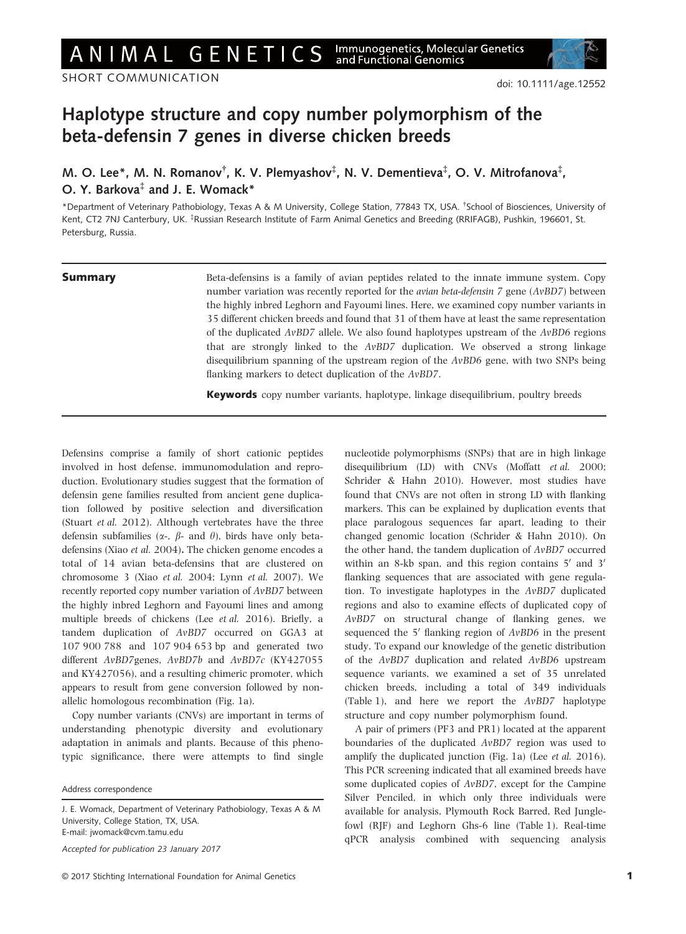ANIMAL GENETICS

SHORT COMMUNICATION

## Haplotype structure and copy number polymorphism of the beta-defensin 7 genes in diverse chicken breeds

M. O. Lee\*, M. N. Romanov<sup>†</sup>, K. V. Plemyashov<sup>‡</sup>, N. V. Dementieva<sup>‡</sup>, O. V. Mitrofanova<sup>‡</sup>, O. Y. Barkova<sup>‡</sup> and J. E. Womack\*

\*Department of Veterinary Pathobiology, Texas A & M University, College Station, 77843 TX, USA. † School of Biosciences, University of Kent, CT2 7NJ Canterbury, UK. <sup>‡</sup>Russian Research Institute of Farm Animal Genetics and Breeding (RRIFAGB), Pushkin, 196601, St. Petersburg, Russia.

**Summary** Beta-defensins is a family of avian peptides related to the innate immune system. Copy number variation was recently reported for the avian beta-defensin 7 gene (AvBD7) between the highly inbred Leghorn and Fayoumi lines. Here, we examined copy number variants in 35 different chicken breeds and found that 31 of them have at least the same representation of the duplicated  $AvBD7$  allele. We also found haplotypes upstream of the  $AvBD6$  regions that are strongly linked to the AvBD7 duplication. We observed a strong linkage disequilibrium spanning of the upstream region of the AvBD6 gene, with two SNPs being flanking markers to detect duplication of the AvBD7.

Keywords copy number variants, haplotype, linkage disequilibrium, poultry breeds

Defensins comprise a family of short cationic peptides involved in host defense, immunomodulation and reproduction. Evolutionary studies suggest that the formation of defensin gene families resulted from ancient gene duplication followed by positive selection and diversification (Stuart et al. 2012). Although vertebrates have the three defensin subfamilies ( $\alpha$ -,  $\beta$ - and  $\theta$ ), birds have only betadefensins (Xiao et al. 2004). The chicken genome encodes a total of 14 avian beta-defensins that are clustered on chromosome 3 (Xiao et al. 2004; Lynn et al. 2007). We recently reported copy number variation of AvBD7 between the highly inbred Leghorn and Fayoumi lines and among multiple breeds of chickens (Lee et al. 2016). Briefly, a tandem duplication of AvBD7 occurred on GGA3 at 107 900 788 and 107 904 653 bp and generated two different AvBD7genes, AvBD7b and AvBD7c (KY427055 and KY427056), and a resulting chimeric promoter, which appears to result from gene conversion followed by nonallelic homologous recombination (Fig. 1a).

Copy number variants (CNVs) are important in terms of understanding phenotypic diversity and evolutionary adaptation in animals and plants. Because of this phenotypic significance, there were attempts to find single

Accepted for publication 23 January 2017

nucleotide polymorphisms (SNPs) that are in high linkage disequilibrium (LD) with CNVs (Moffatt et al. 2000; Schrider & Hahn 2010). However, most studies have found that CNVs are not often in strong LD with flanking markers. This can be explained by duplication events that place paralogous sequences far apart, leading to their changed genomic location (Schrider & Hahn 2010). On the other hand, the tandem duplication of AvBD7 occurred within an 8-kb span, and this region contains  $5'$  and  $3'$ flanking sequences that are associated with gene regulation. To investigate haplotypes in the AvBD7 duplicated regions and also to examine effects of duplicated copy of AvBD7 on structural change of flanking genes, we sequenced the  $5'$  flanking region of  $AvBD6$  in the present study. To expand our knowledge of the genetic distribution of the AvBD7 duplication and related AvBD6 upstream sequence variants, we examined a set of 35 unrelated chicken breeds, including a total of 349 individuals (Table 1), and here we report the AvBD7 haplotype structure and copy number polymorphism found.

A pair of primers (PF3 and PR1) located at the apparent boundaries of the duplicated AvBD7 region was used to amplify the duplicated junction (Fig. 1a) (Lee et al. 2016). This PCR screening indicated that all examined breeds have some duplicated copies of AvBD7, except for the Campine Silver Penciled, in which only three individuals were available for analysis, Plymouth Rock Barred, Red Junglefowl (RJF) and Leghorn Ghs-6 line (Table 1). Real-time qPCR analysis combined with sequencing analysis

Address correspondence

J. E. Womack, Department of Veterinary Pathobiology, Texas A & M University, College Station, TX, USA. E-mail: jwomack@cvm.tamu.edu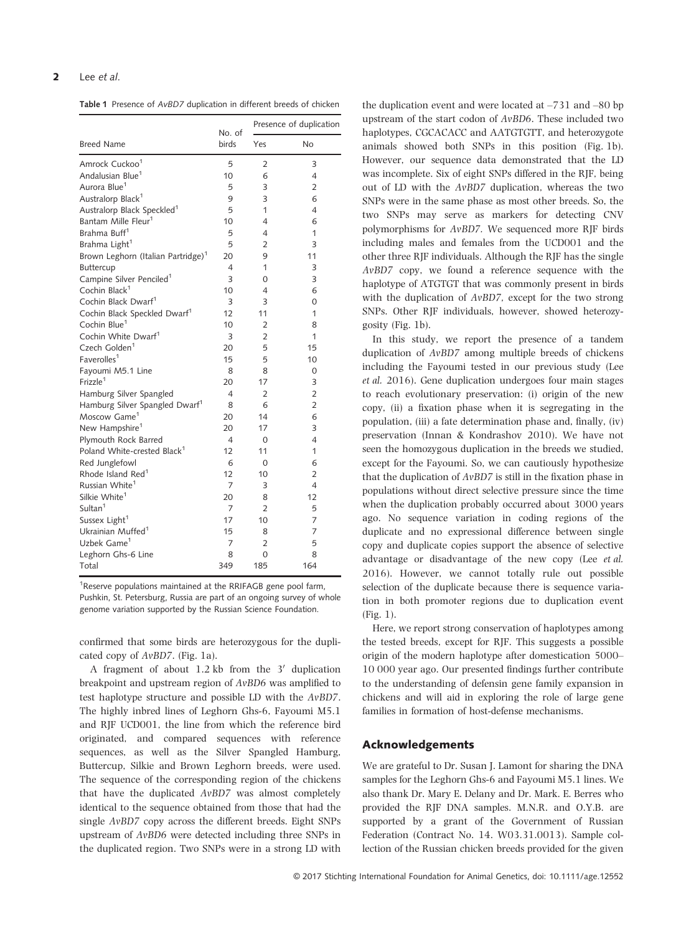#### 2 Lee et al.

Table 1 Presence of AvBD7 duplication in different breeds of chicken

| <b>Breed Name</b>                              | No. of<br>birds | Presence of duplication |                |
|------------------------------------------------|-----------------|-------------------------|----------------|
|                                                |                 | Yes                     | No             |
| Amrock Cuckoo <sup>1</sup>                     | 5               | $\overline{2}$          | 3              |
| Andalusian Blue <sup>1</sup>                   | 10              | 6                       | 4              |
| Aurora Blue <sup>1</sup>                       | 5               | 3                       | $\overline{2}$ |
| Australorp Black <sup>1</sup>                  | 9               | 3                       | 6              |
| Australorp Black Speckled <sup>1</sup>         | 5               | 1                       | 4              |
| Bantam Mille Fleur <sup>1</sup>                | 10              | 4                       | 6              |
| Brahma Buff <sup>1</sup>                       | 5               | 4                       | 1              |
| Brahma Light <sup>1</sup>                      | 5               | $\overline{2}$          | 3              |
| Brown Leghorn (Italian Partridge) <sup>1</sup> | 20              | 9                       | 11             |
| Buttercup                                      | 4               | 1                       | 3              |
| Campine Silver Penciled <sup>1</sup>           | 3               | 0                       | 3              |
| Cochin Black <sup>1</sup>                      | 10              | 4                       | 6              |
| Cochin Black Dwarf <sup>1</sup>                | 3               | 3                       | 0              |
| Cochin Black Speckled Dwarf <sup>1</sup>       | 12              | 11                      | 1              |
| Cochin Blue <sup>1</sup>                       | 10              | $\overline{2}$          | 8              |
| Cochin White Dwarf <sup>1</sup>                | 3               | $\overline{2}$          | 1              |
| Czech Golden <sup>1</sup>                      | 20              | 5                       | 15             |
| Faverolles <sup>1</sup>                        | 15              | 5                       | 10             |
| Fayoumi M5.1 Line                              | 8               | 8                       | 0              |
| Frizzle <sup>1</sup>                           | 20              | 17                      | 3              |
| Hamburg Silver Spangled                        | 4               | $\overline{2}$          | $\overline{2}$ |
| Hamburg Silver Spangled Dwarf <sup>1</sup>     | 8               | 6                       | $\overline{2}$ |
| Moscow Game <sup>1</sup>                       | 20              | 14                      | 6              |
| New Hampshire <sup>1</sup>                     | 20              | 17                      | 3              |
| Plymouth Rock Barred                           | 4               | 0                       | 4              |
| Poland White-crested Black <sup>1</sup>        | 12              | 11                      | 1              |
| Red Junglefowl                                 | 6               | 0                       | 6              |
| Rhode Island Red <sup>1</sup>                  | 12              | 10                      | $\overline{2}$ |
| Russian White <sup>1</sup>                     | 7               | 3                       | 4              |
| Silkie White <sup>1</sup>                      | 20              | 8                       | 12             |
| Sultan <sup>1</sup>                            | 7               | $\overline{2}$          | 5              |
| Sussex Light <sup>1</sup>                      | 17              | 10                      | 7              |
| Ukrainian Muffed <sup>1</sup>                  | 15              | 8                       | 7              |
| Uzbek Game <sup>1</sup>                        | 7               | $\overline{2}$          | 5              |
| Leghorn Ghs-6 Line                             | 8               | $\Omega$                | 8              |
| Total                                          | 349             | 185                     | 164            |
|                                                |                 |                         |                |

<sup>1</sup>Reserve populations maintained at the RRIFAGB gene pool farm, Pushkin, St. Petersburg, Russia are part of an ongoing survey of whole genome variation supported by the Russian Science Foundation.

confirmed that some birds are heterozygous for the duplicated copy of AvBD7. (Fig. 1a).

A fragment of about  $1.2$  kb from the  $3'$  duplication breakpoint and upstream region of AvBD6 was amplified to test haplotype structure and possible LD with the AvBD7. The highly inbred lines of Leghorn Ghs-6, Fayoumi M5.1 and RJF UCD001, the line from which the reference bird originated, and compared sequences with reference sequences, as well as the Silver Spangled Hamburg, Buttercup, Silkie and Brown Leghorn breeds, were used. The sequence of the corresponding region of the chickens that have the duplicated AvBD7 was almost completely identical to the sequence obtained from those that had the single AvBD7 copy across the different breeds. Eight SNPs upstream of AvBD6 were detected including three SNPs in the duplicated region. Two SNPs were in a strong LD with

the duplication event and were located at –731 and –80 bp upstream of the start codon of AvBD6. These included two haplotypes, CGCACACC and AATGTGTT, and heterozygote animals showed both SNPs in this position (Fig. 1b). However, our sequence data demonstrated that the LD was incomplete. Six of eight SNPs differed in the RJF, being out of LD with the AvBD7 duplication, whereas the two SNPs were in the same phase as most other breeds. So, the two SNPs may serve as markers for detecting CNV polymorphisms for AvBD7. We sequenced more RJF birds including males and females from the UCD001 and the other three RJF individuals. Although the RJF has the single AvBD7 copy, we found a reference sequence with the haplotype of ATGTGT that was commonly present in birds with the duplication of AvBD7, except for the two strong SNPs. Other RJF individuals, however, showed heterozygosity (Fig. 1b).

In this study, we report the presence of a tandem duplication of AvBD7 among multiple breeds of chickens including the Fayoumi tested in our previous study (Lee et al. 2016). Gene duplication undergoes four main stages to reach evolutionary preservation: (i) origin of the new copy, (ii) a fixation phase when it is segregating in the population, (iii) a fate determination phase and, finally, (iv) preservation (Innan & Kondrashov 2010). We have not seen the homozygous duplication in the breeds we studied, except for the Fayoumi. So, we can cautiously hypothesize that the duplication of AvBD7 is still in the fixation phase in populations without direct selective pressure since the time when the duplication probably occurred about 3000 years ago. No sequence variation in coding regions of the duplicate and no expressional difference between single copy and duplicate copies support the absence of selective advantage or disadvantage of the new copy (Lee et al. 2016). However, we cannot totally rule out possible selection of the duplicate because there is sequence variation in both promoter regions due to duplication event (Fig. 1).

Here, we report strong conservation of haplotypes among the tested breeds, except for RJF. This suggests a possible origin of the modern haplotype after domestication 5000– 10 000 year ago. Our presented findings further contribute to the understanding of defensin gene family expansion in chickens and will aid in exploring the role of large gene families in formation of host-defense mechanisms.

#### Acknowledgements

We are grateful to Dr. Susan J. Lamont for sharing the DNA samples for the Leghorn Ghs-6 and Fayoumi M5.1 lines. We also thank Dr. Mary E. Delany and Dr. Mark. E. Berres who provided the RJF DNA samples. M.N.R. and O.Y.B. are supported by a grant of the Government of Russian Federation (Contract No. 14. W03.31.0013). Sample collection of the Russian chicken breeds provided for the given